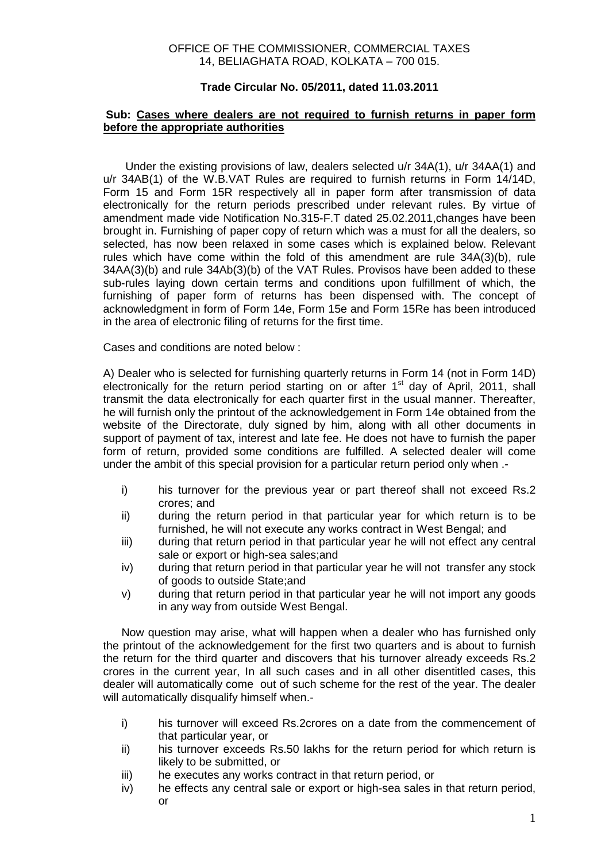## OFFICE OF THE COMMISSIONER, COMMERCIAL TAXES 14, BELIAGHATA ROAD, KOLKATA – 700 015.

## **Trade Circular No. 05/2011, dated 11.03.2011**

## **Sub: Cases where dealers are not required to furnish returns in paper form before the appropriate authorities**

 Under the existing provisions of law, dealers selected u/r 34A(1), u/r 34AA(1) and u/r 34AB(1) of the W.B.VAT Rules are required to furnish returns in Form 14/14D, Form 15 and Form 15R respectively all in paper form after transmission of data electronically for the return periods prescribed under relevant rules. By virtue of amendment made vide Notification No.315-F.T dated 25.02.2011,changes have been brought in. Furnishing of paper copy of return which was a must for all the dealers, so selected, has now been relaxed in some cases which is explained below. Relevant rules which have come within the fold of this amendment are rule 34A(3)(b), rule 34AA(3)(b) and rule 34Ab(3)(b) of the VAT Rules. Provisos have been added to these sub-rules laying down certain terms and conditions upon fulfillment of which, the furnishing of paper form of returns has been dispensed with. The concept of acknowledgment in form of Form 14e, Form 15e and Form 15Re has been introduced in the area of electronic filing of returns for the first time.

Cases and conditions are noted below :

A) Dealer who is selected for furnishing quarterly returns in Form 14 (not in Form 14D) electronically for the return period starting on or after  $1<sup>st</sup>$  day of April, 2011, shall transmit the data electronically for each quarter first in the usual manner. Thereafter, he will furnish only the printout of the acknowledgement in Form 14e obtained from the website of the Directorate, duly signed by him, along with all other documents in support of payment of tax, interest and late fee. He does not have to furnish the paper form of return, provided some conditions are fulfilled. A selected dealer will come under the ambit of this special provision for a particular return period only when .-

- i) his turnover for the previous year or part thereof shall not exceed Rs.2 crores; and
- ii) during the return period in that particular year for which return is to be furnished, he will not execute any works contract in West Bengal; and
- iii) during that return period in that particular year he will not effect any central sale or export or high-sea sales;and
- iv) during that return period in that particular year he will not transfer any stock of goods to outside State;and
- v) during that return period in that particular year he will not import any goods in any way from outside West Bengal.

Now question may arise, what will happen when a dealer who has furnished only the printout of the acknowledgement for the first two quarters and is about to furnish the return for the third quarter and discovers that his turnover already exceeds Rs.2 crores in the current year, In all such cases and in all other disentitled cases, this dealer will automatically come out of such scheme for the rest of the year. The dealer will automatically disqualify himself when.-

- i) his turnover will exceed Rs.2crores on a date from the commencement of that particular year, or
- ii) his turnover exceeds Rs.50 lakhs for the return period for which return is likely to be submitted, or
- iii) he executes any works contract in that return period, or
- iv) he effects any central sale or export or high-sea sales in that return period, or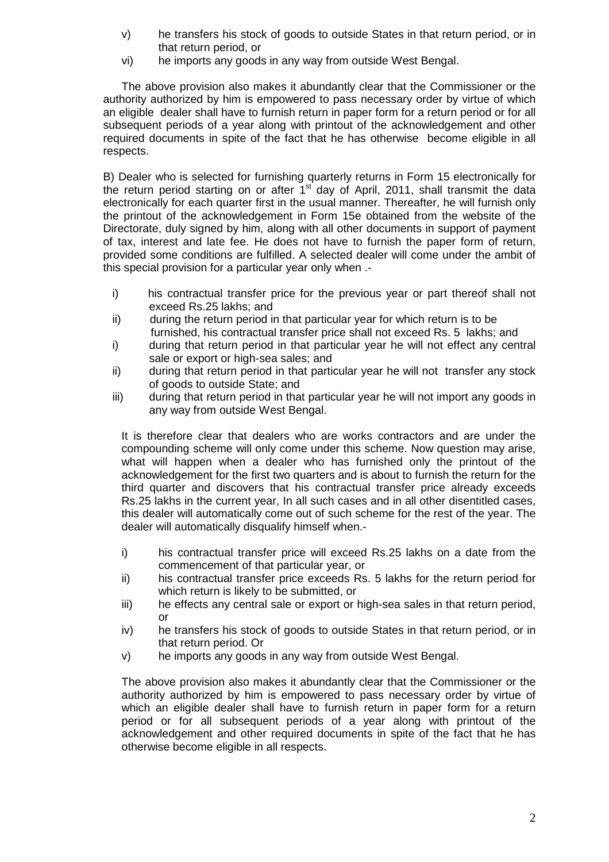- v) he transfers his stock of goods to outside States in that return period, or in that return period, or
- vi) he imports any goods in any way from outside West Bengal.

The above provision also makes it abundantly clear that the Commissioner or the authority authorized by him is empowered to pass necessary order by virtue of which an eligible dealer shall have to furnish return in paper form for a return period or for all subsequent periods of a year along with printout of the acknowledgement and other required documents in spite of the fact that he has otherwise become eligible in all respects.

B) Dealer who is selected for furnishing quarterly returns in Form 15 electronically for the return period starting on or after 1<sup>st</sup> day of April, 2011, shall transmit the data electronically for each quarter first in the usual manner. Thereafter, he will furnish only the printout of the acknowledgement in Form 15e obtained from the website of the Directorate, duly signed by him, along with all other documents in support of payment of tax, interest and late fee. He does not have to furnish the paper form of return, provided some conditions are fulfilled. A selected dealer will come under the ambit of this special provision for a particular year only when .-

- i) his contractual transfer price for the previous year or part thereof shall not exceed Rs.25 lakhs; and
- ii) during the return period in that particular year for which return is to be furnished, his contractual transfer price shall not exceed Rs. 5 lakhs; and
- i) during that return period in that particular year he will not effect any central sale or export or high-sea sales; and
- ii) during that return period in that particular year he will not transfer any stock of goods to outside State; and
- iii) during that return period in that particular year he will not import any goods in any way from outside West Bengal.

It is therefore clear that dealers who are works contractors and are under the compounding scheme will only come under this scheme. Now question may arise, what will happen when a dealer who has furnished only the printout of the acknowledgement for the first two quarters and is about to furnish the return for the third quarter and discovers that his contractual transfer price already exceeds Rs.25 lakhs in the current year, In all such cases and in all other disentitled cases, this dealer will automatically come out of such scheme for the rest of the year. The dealer will automatically disqualify himself when.-

- i) his contractual transfer price will exceed Rs.25 lakhs on a date from the commencement of that particular year, or
- ii) his contractual transfer price exceeds Rs. 5 lakhs for the return period for which return is likely to be submitted, or
- iii) he effects any central sale or export or high-sea sales in that return period, or
- iv) he transfers his stock of goods to outside States in that return period, or in that return period. Or
- v) he imports any goods in any way from outside West Bengal.

The above provision also makes it abundantly clear that the Commissioner or the authority authorized by him is empowered to pass necessary order by virtue of which an eligible dealer shall have to furnish return in paper form for a return period or for all subsequent periods of a year along with printout of the acknowledgement and other required documents in spite of the fact that he has otherwise become eligible in all respects.